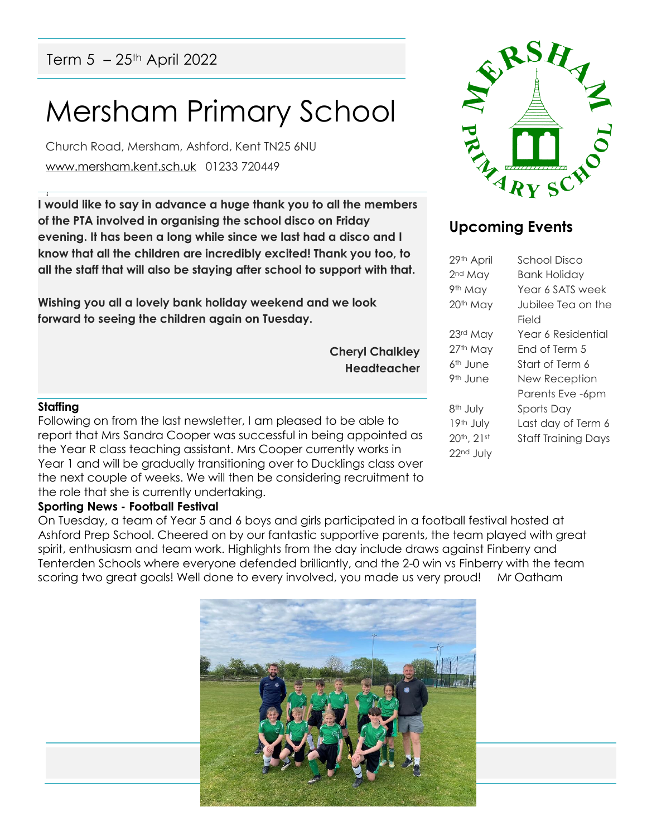Term  $5 - 25$ <sup>th</sup> April 2022

# Mersham Primary School

Church Road, Mersham, Ashford, Kent TN25 6NU [www.mersham.kent.sch.uk](http://www.mersham.kent.sch.uk/) 01233 720449

! **I would like to say in advance a huge thank you to all the members of the PTA involved in organising the school disco on Friday evening. It has been a long while since we last had a disco and I know that all the children are incredibly excited! Thank you too, to all the staff that will also be staying after school to support with that.** 

**Wishing you all a lovely bank holiday weekend and we look forward to seeing the children again on Tuesday.** 

> **Cheryl Chalkley Headteacher**

#### **Staffing**

Following on from the last newsletter, I am pleased to be able to report that Mrs Sandra Cooper was successful in being appointed as the Year R class teaching assistant. Mrs Cooper currently works in Year 1 and will be gradually transitioning over to Ducklings class over the next couple of weeks. We will then be considering recruitment to the role that she is currently undertaking.

#### **Sporting News - Football Festival**

On Tuesday, a team of Year 5 and 6 boys and girls participated in a football festival hosted at Ashford Prep School. Cheered on by our fantastic supportive parents, the team played with great spirit, enthusiasm and team work. Highlights from the day include draws against Finberry and Tenterden Schools where everyone defended brilliantly, and the 2-0 win vs Finberry with the team scoring two great goals! Well done to every involved, you made us very proud! Mr Oatham





## **Upcoming Events**

| 29th April           | School Disco               |
|----------------------|----------------------------|
| 2 <sup>nd</sup> May  | Bank Holiday               |
| 9th May              | Year 6 SATS week           |
| 20th May             | Jubilee Tea on the         |
|                      | Field                      |
| 23rd May             | Year 6 Residential         |
| 27th May             | Fnd of Term 5              |
| 6 <sup>th</sup> June | Start of Term 6            |
| 9 <sup>th</sup> June | New Reception              |
|                      | Parents Eve -6pm           |
| 8 <sup>th</sup> July | Sports Day                 |
| 19th July            | Last day of Term 6         |
| 20th, 21st           | <b>Staff Training Days</b> |
| 22nd July            |                            |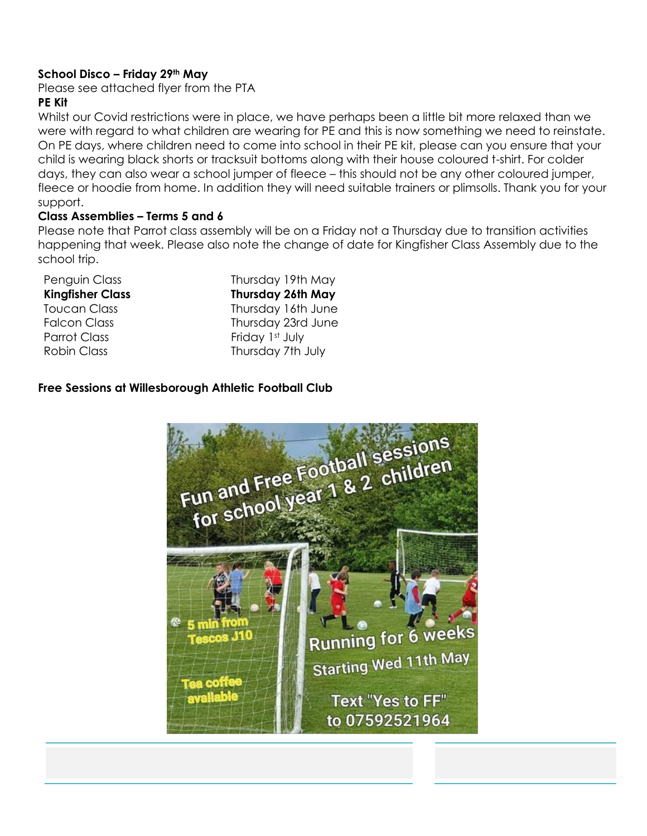## **School Disco – Friday 29th May**

Please see attached flyer from the PTA

## **PE Kit**

Whilst our Covid restrictions were in place, we have perhaps been a little bit more relaxed than we were with regard to what children are wearing for PE and this is now something we need to reinstate. On PE days, where children need to come into school in their PE kit, please can you ensure that your child is wearing black shorts or tracksuit bottoms along with their house coloured t-shirt. For colder days, they can also wear a school jumper of fleece – this should not be any other coloured jumper, fleece or hoodie from home. In addition they will need suitable trainers or plimsolls. Thank you for your support.

### **Class Assemblies – Terms 5 and 6**

Please note that Parrot class assembly will be on a Friday not a Thursday due to transition activities happening that week. Please also note the change of date for Kingfisher Class Assembly due to the school trip.

| Thursday 19th May        |
|--------------------------|
| <b>Thursday 26th May</b> |
| Thursday 16th June       |
| Thursday 23rd June       |
| Friday 1st July          |
| Thursday 7th July        |
|                          |

### **Free Sessions at Willesborough Athletic Football Club**